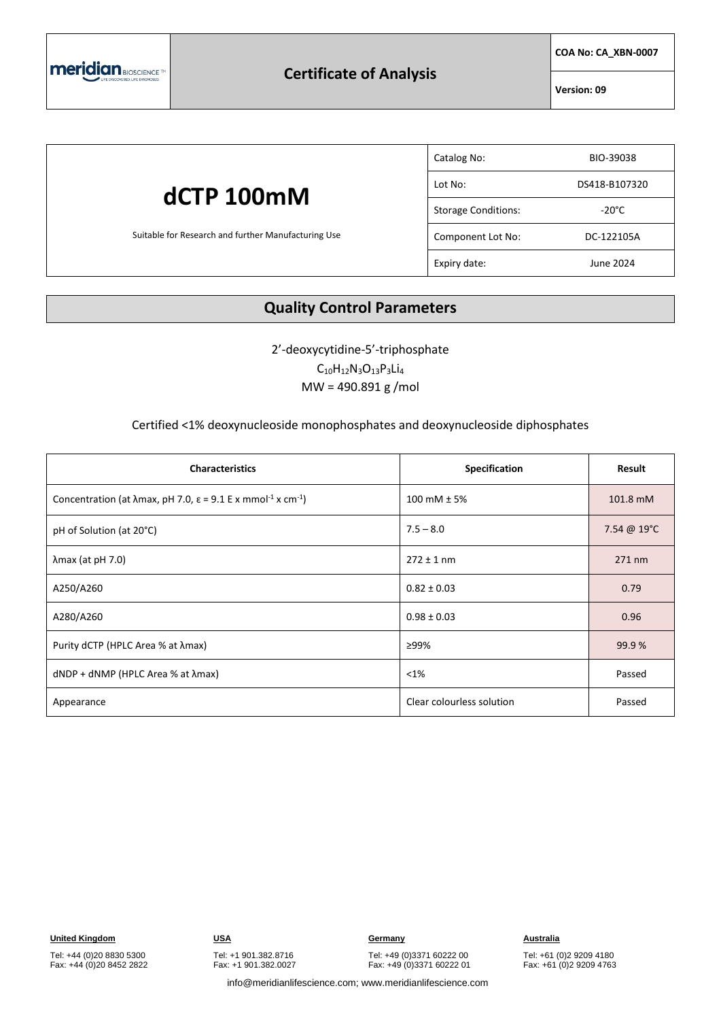

### **Certificate of Analysis**

**COA No: CA\_XBN-0007**

**Version: 09**

## **dCTP 100mM** Suitable for Research and further Manufacturing Use Catalog No: BIO-39038 Lot No: DS418-B107320 Storage Conditions: The Storage Conditions: Component Lot No: DC-122105A Expiry date: June 2024

### **Quality Control Parameters**

2'-deoxycytidine-5'-triphosphate  $C_{10}H_{12}N_3O_{13}P_3Li_4$ MW = 490.891 g /mol

#### Certified <1% deoxynucleoside monophosphates and deoxynucleoside diphosphates

| <b>Characteristics</b>                                                                                   | <b>Specification</b>      | Result      |
|----------------------------------------------------------------------------------------------------------|---------------------------|-------------|
| Concentration (at $\lambda$ max, pH 7.0, $\varepsilon$ = 9.1 E x mmol <sup>-1</sup> x cm <sup>-1</sup> ) | 100 mM $± 5%$             | 101.8 mM    |
| pH of Solution (at 20°C)                                                                                 | $7.5 - 8.0$               | 7.54 @ 19°C |
| $\lambda$ max (at pH 7.0)                                                                                | $272 \pm 1$ nm            | 271 nm      |
| A250/A260                                                                                                | $0.82 \pm 0.03$           | 0.79        |
| A280/A260                                                                                                | $0.98 \pm 0.03$           | 0.96        |
| Purity dCTP (HPLC Area % at λmax)                                                                        | ≥99%                      | 99.9%       |
| $dNDP + dNMP$ (HPLC Area % at $\lambda$ max)                                                             | $< 1\%$                   | Passed      |
| Appearance                                                                                               | Clear colourless solution | Passed      |

Tel: +44 (0)20 8830 5300 Fax: +44 (0)20 8452 2822 Tel: +1 901.382.8716 Fax: +1 901.382.0027

Tel: +49 (0)3371 60222 00 Fax: +49 (0)3371 60222 01

Tel: +61 (0)2 9209 4180 Fax: +61 (0)2 9209 4763